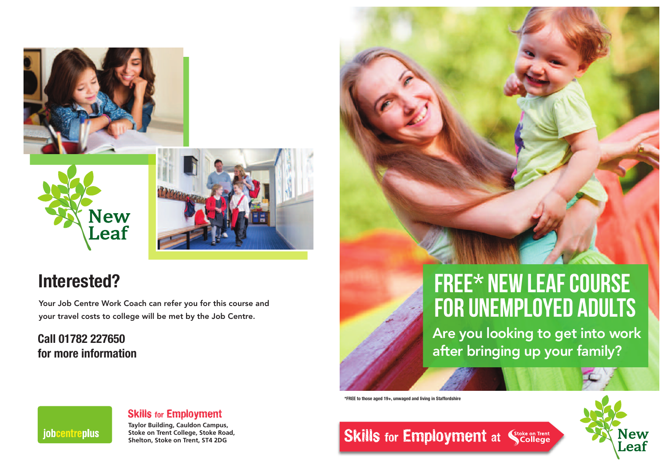





# **Interested?**

Your Job Centre Work Coach can refer you for this course and your travel costs to college will be met by the Job Centre.

# **Call 01782 227650 for more information**



Are you looking to get into work after bringing up your family?

**\*FREE to those aged 19+, unwaged and living in Staffordshire**





## Skills for Employment

**Taylor Building, Cauldon Campus, Stoke on Trent College, Stoke Road, Shelton, Stoke on Trent, ST4 2DG**

**Skills for Employment at Scollege**